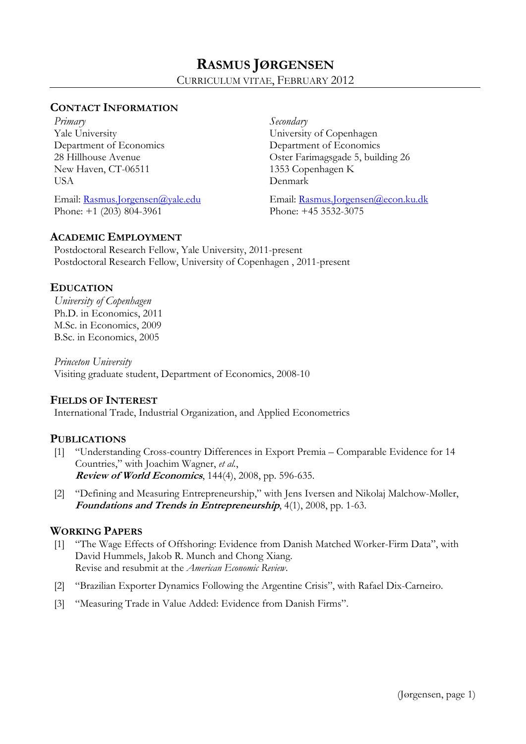# **CONTACT INFORMATION**

*Primary* Yale University Department of Economics 28 Hillhouse Avenue New Haven, CT-06511 **USA** 

Email: Rasmus.Jorgensen@yale.edu Phone: +1 (203) 804-3961

*Secondary* University of Copenhagen Department of Economics Oster Farimagsgade 5, building 26 1353 Copenhagen K Denmark

Email: Rasmus.Jorgensen@econ.ku.dk Phone: +45 3532-3075

# **ACADEMIC EMPLOYMENT**

Postdoctoral Research Fellow, Yale University, 2011-present Postdoctoral Research Fellow, University of Copenhagen , 2011-present

# **EDUCATION**

*University of Copenhagen*  Ph.D. in Economics, 2011 M.Sc. in Economics, 2009 B.Sc. in Economics, 2005

*Princeton University*  Visiting graduate student, Department of Economics, 2008-10

# **FIELDS OF INTEREST**

International Trade, Industrial Organization, and Applied Econometrics

# **PUBLICATIONS**

- [1] "Understanding Cross-country Differences in Export Premia Comparable Evidence for 14 Countries," with Joachim Wagner, *et al.*, **Review of World Economics**, 144(4), 2008, pp. 596-635.
- [2] "Defining and Measuring Entrepreneurship," with Jens Iversen and Nikolaj Malchow-Møller, **Foundations and Trends in Entrepreneurship**, 4(1), 2008, pp. 1-63.

# **WORKING PAPERS**

- [1] "The Wage Effects of Offshoring: Evidence from Danish Matched Worker-Firm Data", with David Hummels, Jakob R. Munch and Chong Xiang. Revise and resubmit at the *American Economic Review*.
- [2] "Brazilian Exporter Dynamics Following the Argentine Crisis", with Rafael Dix-Carneiro.
- [3] "Measuring Trade in Value Added: Evidence from Danish Firms".